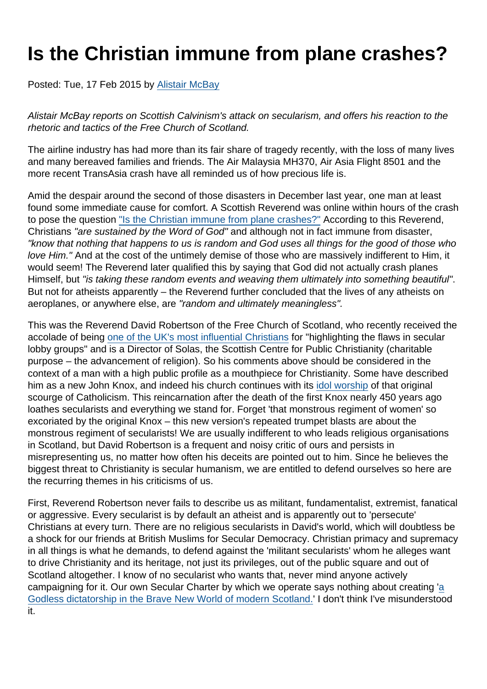## Is the Christian immune from plane crashes?

Posted: Tue, 17 Feb 2015 by [Alistair McBay](https://www.secularism.org.uk/opinion/authors/853)

Alistair McBay reports on Scottish Calvinism's attack on secularism, and offers his reaction to the rhetoric and tactics of the Free Church of Scotland.

The airline industry has had more than its fair share of tragedy recently, with the loss of many lives and many bereaved families and friends. The Air Malaysia MH370, Air Asia Flight 8501 and the more recent TransAsia crash have all reminded us of how precious life is.

Amid the despair around the second of those disasters in December last year, one man at least found some immediate cause for comfort. A Scottish Reverend was online within hours of the crash to pose the question ["Is the Christian immune from plane crashes?"](https://theweeflea.wordpress.com/2014/12/28/is-the-christian-immune-from-plane-crashes-reflections-on-ps-139-as-we-enter-the-new-year/) According to this Reverend, Christians "are sustained by the Word of God" and although not in fact immune from disaster, "know that nothing that happens to us is random and God uses all things for the good of those who love Him." And at the cost of the untimely demise of those who are massively indifferent to Him, it would seem! The Reverend later qualified this by saying that God did not actually crash planes Himself, but "is taking these random events and weaving them ultimately into something beautiful". But not for atheists apparently – the Reverend further concluded that the lives of any atheists on aeroplanes, or anywhere else, are "random and ultimately meaningless".

This was the Reverend David Robertson of the Free Church of Scotland, who recently received the accolade of being [one of the UK's most influential Christians](https://www.pressandjournal.co.uk/fp/news/scotland/452282/free-church-minister-rated-one-of-most-influential-christians-in-the-uk/) for "highlighting the flaws in secular lobby groups" and is a Director of Solas, the Scottish Centre for Public Christianity (charitable purpose – the advancement of religion). So his comments above should be considered in the context of a man with a high public profile as a mouthpiece for Christianity. Some have described him as a new John Knox, and indeed his church continues with its [idol worship](http://freechurch.org/news/why-john-knox-matters-in-21st-century-scotland) of that original scourge of Catholicism. This reincarnation after the death of the first Knox nearly 450 years ago loathes secularists and everything we stand for. Forget 'that monstrous regiment of women' so excoriated by the original Knox – this new version's repeated trumpet blasts are about the monstrous regiment of secularists! We are usually indifferent to who leads religious organisations in Scotland, but David Robertson is a frequent and noisy critic of ours and persists in misrepresenting us, no matter how often his deceits are pointed out to him. Since he believes the biggest threat to Christianity is secular humanism, we are entitled to defend ourselves so here are the recurring themes in his criticisms of us.

First, Reverend Robertson never fails to describe us as militant, fundamentalist, extremist, fanatical or aggressive. Every secularist is by default an atheist and is apparently out to 'persecute' Christians at every turn. There are no religious secularists in David's world, which will doubtless be a shock for our friends at British Muslims for Secular Democracy. Christian primacy and supremacy in all things is what he demands, to defend against the 'militant secularists' whom he alleges want to drive Christianity and its heritage, not just its privileges, out of the public square and out of Scotland altogether. I know of no secularist who wants that, never mind anyone actively campaigning for it. Our own Secular Charter by which we operate says nothing about creating '[a](https://theweeflea.wordpress.com/tag/jim-murphy/) [Godless dictatorship in the Brave New World of modern Scotland.](https://theweeflea.wordpress.com/tag/jim-murphy/)' I don't think I've misunderstood it.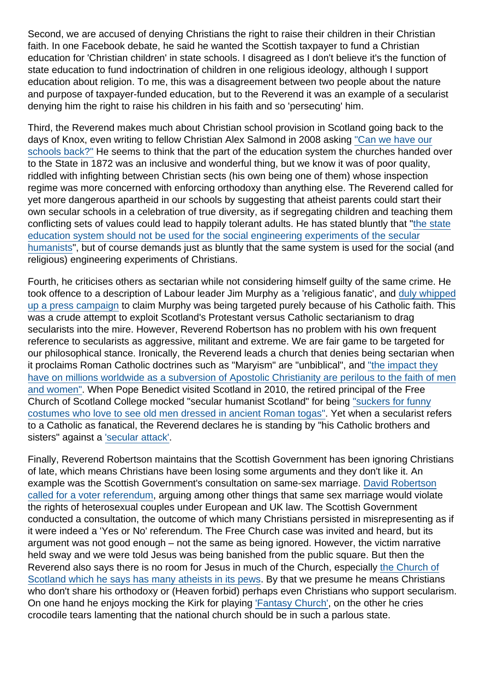Second, we are accused of denying Christians the right to raise their children in their Christian faith. In one Facebook debate, he said he wanted the Scottish taxpayer to fund a Christian education for 'Christian children' in state schools. I disagreed as I don't believe it's the function of state education to fund indoctrination of children in one religious ideology, although I support education about religion. To me, this was a disagreement between two people about the nature and purpose of taxpayer-funded education, but to the Reverend it was an example of a secularist denying him the right to raise his children in his faith and so 'persecuting' him.

Third, the Reverend makes much about Christian school provision in Scotland going back to the days of Knox, even writing to fellow Christian Alex Salmond in 2008 asking ["Can we have our](http://www.scotsman.com/news/wee-frees-call-on-salmond-to-set-up-religious-schools-1-1431666) [schools back?"](http://www.scotsman.com/news/wee-frees-call-on-salmond-to-set-up-religious-schools-1-1431666) He seems to think that the part of the education system the churches handed over to the State in 1872 was an inclusive and wonderful thing, but we know it was of poor quality, riddled with infighting between Christian sects (his own being one of them) whose inspection regime was more concerned with enforcing orthodoxy than anything else. The Reverend called for yet more dangerous apartheid in our schools by suggesting that atheist parents could start their own secular schools in a celebration of true diversity, as if segregating children and teaching them conflicting sets of values could lead to happily tolerant adults. He has stated bluntly that ["the state](https://theweeflea.wordpress.com/2015/01/23/response-to-guidelines-issued-by-south-lanarkshire-council-on-chaplains-and-religious-observance/) [education system should not be used for the social engineering experiments of the secular](https://theweeflea.wordpress.com/2015/01/23/response-to-guidelines-issued-by-south-lanarkshire-council-on-chaplains-and-religious-observance/) [humanists"](https://theweeflea.wordpress.com/2015/01/23/response-to-guidelines-issued-by-south-lanarkshire-council-on-chaplains-and-religious-observance/), but of course demands just as bluntly that the same system is used for the social (and religious) engineering experiments of Christians.

Fourth, he criticises others as sectarian while not considering himself guilty of the same crime. He took offence to a description of Labour leader Jim Murphy as a 'religious fanatic', and [duly whipped](http://www.heraldscotland.com/politics/scottish-politics/unexpected-row-over-jim-murphys-catholic-faith.114307161) [up a press campaign](http://www.heraldscotland.com/politics/scottish-politics/unexpected-row-over-jim-murphys-catholic-faith.114307161) to claim Murphy was being targeted purely because of his Catholic faith. This was a crude attempt to exploit Scotland's Protestant versus Catholic sectarianism to drag secularists into the mire. However, Reverend Robertson has no problem with his own frequent reference to secularists as aggressive, militant and extreme. We are fair game to be targeted for our philosophical stance. Ironically, the Reverend leads a church that denies being sectarian when it proclaims Roman Catholic doctrines such as "Maryism" are "unbiblical", and ["the impact they](http://freechurch.org/im-new/questions/what-does-the-bible-say-about-maryism) [have on millions worldwide as a subversion of Apostolic Christianity are perilous to the faith of men](http://freechurch.org/im-new/questions/what-does-the-bible-say-about-maryism) [and women"](http://freechurch.org/im-new/questions/what-does-the-bible-say-about-maryism). When Pope Benedict visited Scotland in 2010, the retired principal of the Free Church of Scotland College mocked "secular humanist Scotland" for being ["suckers for funny](http://www.catholicherald.co.uk/news/2010/07/14/faithful-urged-to-apply-as-soon-as-possible-for-papal-visit-places/) [costumes who love to see old men dressed in ancient Roman togas".](http://www.catholicherald.co.uk/news/2010/07/14/faithful-urged-to-apply-as-soon-as-possible-for-papal-visit-places/) Yet when a secularist refers to a Catholic as fanatical, the Reverend declares he is standing by "his Catholic brothers and sisters" against a ['secular attack'.](http://www.thecourier.co.uk/opinion/readers-letters/uk-gets-hurt-playing-russian-roulette-1.759882)

Finally, Reverend Robertson maintains that the Scottish Government has been ignoring Christians of late, which means Christians have been losing some arguments and they don't like it. An example was the Scottish Government's consultation on same-sex marriage. [David Robertson](http://www.pinknews.co.uk/2011/10/11/scottish-faith-groups-want-gay-marriage-referendum/) [called for a voter referendum](http://www.pinknews.co.uk/2011/10/11/scottish-faith-groups-want-gay-marriage-referendum/), arguing among other things that same sex marriage would violate the rights of heterosexual couples under European and UK law. The Scottish Government conducted a consultation, the outcome of which many Christians persisted in misrepresenting as if it were indeed a 'Yes or No' referendum. The Free Church case was invited and heard, but its argument was not good enough – not the same as being ignored. However, the victim narrative held sway and we were told Jesus was being banished from the public square. But then the Reverend also says there is no room for Jesus in much of the Church, especially [the Church of](https://theweeflea.wordpress.com/2014/12/04/full-house-the-fairytale-of-ecclesiastical-bingo-the-church-of-scotland-and-the-million-member-free-church/) [Scotland which he says has many atheists in its pews.](https://theweeflea.wordpress.com/2014/12/04/full-house-the-fairytale-of-ecclesiastical-bingo-the-church-of-scotland-and-the-million-member-free-church/) By that we presume he means Christians who don't share his orthodoxy or (Heaven forbid) perhaps even Christians who support secularism. On one hand he enjoys mocking the Kirk for playing ['Fantasy Church'](https://theweeflea.wordpress.com/2014/12/04/full-house-the-fairytale-of-ecclesiastical-bingo-the-church-of-scotland-and-the-million-member-free-church/), on the other he cries crocodile tears lamenting that the national church should be in such a parlous state.